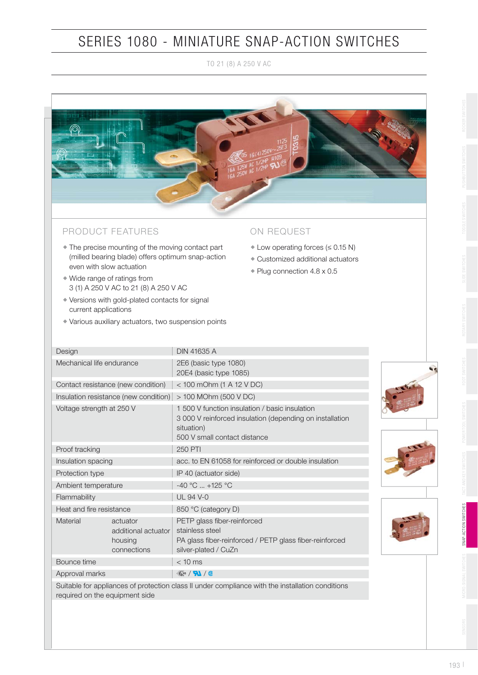TO 21 (8) A 250 V AC



#### PRODUCT FEATURES

- The precise mounting of the moving contact part (milled bearing blade) offers optimum snap-action even with slow actuation ◆ ◆ ◆ ◆
- Wide range of ratings from 3 (1) A 250 V AC to 21 (8) A 250 V AC
- Versions with gold-plated contacts for signal current applications
- Various auxiliary actuators, two suspension points

#### ON REQUEST

- Low operating forces  $(\leq 0.15 \text{ N})$
- Customized additional actuators
- ◆ Plug connection 4.8 x 0.5 + + +

| Design                                |                                                           | <b>DIN 41635 A</b>                                                                                                                                       |  |  |  |  |  |
|---------------------------------------|-----------------------------------------------------------|----------------------------------------------------------------------------------------------------------------------------------------------------------|--|--|--|--|--|
| Mechanical life endurance             |                                                           | 2E6 (basic type 1080)<br>20E4 (basic type 1085)                                                                                                          |  |  |  |  |  |
| Contact resistance (new condition)    |                                                           | $<$ 100 mOhm (1 A 12 V DC)                                                                                                                               |  |  |  |  |  |
| Insulation resistance (new condition) |                                                           | > 100 MOhm (500 V DC)                                                                                                                                    |  |  |  |  |  |
| Voltage strength at 250 V             |                                                           | 1,500 V function insulation / basic insulation<br>3 000 V reinforced insulation (depending on installation<br>situation)<br>500 V small contact distance |  |  |  |  |  |
| Proof tracking                        |                                                           | <b>250 PTI</b>                                                                                                                                           |  |  |  |  |  |
| Insulation spacing                    |                                                           | acc. to EN 61058 for reinforced or double insulation                                                                                                     |  |  |  |  |  |
| Protection type                       |                                                           | IP 40 (actuator side)                                                                                                                                    |  |  |  |  |  |
| Ambient temperature                   |                                                           | $-40$ °C $$ +125 °C                                                                                                                                      |  |  |  |  |  |
| Flammability                          |                                                           | <b>UL 94 V-0</b>                                                                                                                                         |  |  |  |  |  |
| Heat and fire resistance              |                                                           | 850 °C (category D)                                                                                                                                      |  |  |  |  |  |
| Material                              | actuator<br>additional actuator<br>housing<br>connections | PETP glass fiber-reinforced<br>stainless steel<br>PA glass fiber-reinforced / PETP glass fiber-reinforced<br>silver-plated / CuZn                        |  |  |  |  |  |
| Bounce time                           |                                                           | $< 10$ ms                                                                                                                                                |  |  |  |  |  |
| Approval marks                        |                                                           | 《15/7】/1                                                                                                                                                 |  |  |  |  |  |
| required on the equipment side        |                                                           | Suitable for appliances of protection class II under compliance with the installation conditions                                                         |  |  |  |  |  |



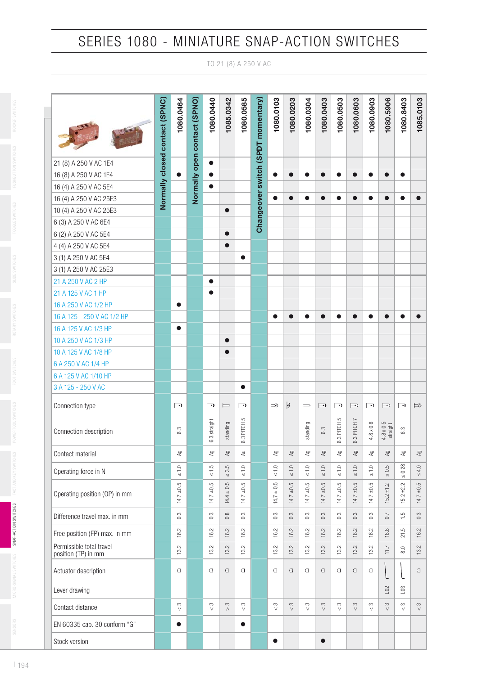TO 21 (8) A 250 V AC

|                                                 | Normally closed contact (SPNC) | 1080.0464               | Normally open contact (SPNO) | 1080.0440                         | 1085.0342                | 1080.0585         | Changeover switch (SPDT momentary) | 1080.0103          | 1080.0203                | 1080.0304                 | 1080.0403               | 1080.0503         | 1080.0603                      | 1080.0903         | 1080.5906                    | 1080.8403                | 1085.0103                 |
|-------------------------------------------------|--------------------------------|-------------------------|------------------------------|-----------------------------------|--------------------------|-------------------|------------------------------------|--------------------|--------------------------|---------------------------|-------------------------|-------------------|--------------------------------|-------------------|------------------------------|--------------------------|---------------------------|
| 21 (8) A 250 V AC 1E4                           |                                |                         |                              | $\bullet$                         |                          |                   |                                    |                    |                          |                           |                         |                   |                                |                   |                              |                          |                           |
| 16 (8) A 250 V AC 1E4                           |                                | $\bullet$               |                              | $\bullet$                         |                          |                   |                                    | $\bullet$          | $\bullet$                | $\bullet$                 | $\bullet$               |                   |                                | $\bullet$         |                              | $\bullet$                |                           |
| 16 (4) A 250 V AC 5E4                           |                                |                         |                              | $\bullet$                         |                          |                   |                                    |                    |                          |                           |                         |                   |                                |                   |                              |                          |                           |
| 16 (4) A 250 V AC 25E3                          |                                |                         |                              |                                   |                          |                   |                                    | $\bullet$          | $\bullet$                | $\bullet$                 | $\bullet$               |                   |                                |                   |                              |                          | $\bullet$                 |
| 10 (4) A 250 V AC 25E3                          |                                |                         |                              |                                   | $\bullet$                |                   |                                    |                    |                          |                           |                         |                   |                                |                   |                              |                          |                           |
| 6 (3) A 250 V AC 6E4                            |                                |                         |                              |                                   |                          |                   |                                    |                    |                          |                           |                         |                   |                                |                   |                              |                          |                           |
| 6 (2) A 250 V AC 5E4                            |                                |                         |                              |                                   | $\bullet$                |                   |                                    |                    |                          |                           |                         |                   |                                |                   |                              |                          |                           |
| 4 (4) A 250 V AC 5E4                            |                                |                         |                              |                                   | $\bullet$                |                   |                                    |                    |                          |                           |                         |                   |                                |                   |                              |                          |                           |
| 3 (1) A 250 V AC 5E4                            |                                |                         |                              |                                   |                          | $\bullet$         |                                    |                    |                          |                           |                         |                   |                                |                   |                              |                          |                           |
| 3 (1) A 250 V AC 25E3                           |                                |                         |                              |                                   |                          |                   |                                    |                    |                          |                           |                         |                   |                                |                   |                              |                          |                           |
| 21 A 250 V AC 2 HP                              |                                |                         |                              | $\bullet$                         |                          |                   |                                    |                    |                          |                           |                         |                   |                                |                   |                              |                          |                           |
| 21 A 125 V AC 1 HP                              |                                |                         |                              | $\bullet$                         |                          |                   |                                    |                    |                          |                           |                         |                   |                                |                   |                              |                          |                           |
| 16 A 250 V AC 1/2 HP                            |                                | $\bullet$               |                              |                                   |                          |                   |                                    |                    |                          |                           |                         |                   |                                |                   |                              |                          |                           |
| 16 A 125 - 250 V AC 1/2 HP                      |                                |                         |                              |                                   |                          |                   |                                    | $\bullet$          | $\bullet$                |                           | $\bullet$               |                   |                                |                   |                              |                          |                           |
| 16 A 125 V AC 1/3 HP                            |                                | $\bullet$               |                              |                                   |                          |                   |                                    |                    |                          |                           |                         |                   |                                |                   |                              |                          |                           |
| 10 A 250 V AC 1/3 HP                            |                                |                         |                              |                                   | $\bullet$                |                   |                                    |                    |                          |                           |                         |                   |                                |                   |                              |                          |                           |
| 10 A 125 V AC 1/8 HP                            |                                |                         |                              |                                   | $\bullet$                |                   |                                    |                    |                          |                           |                         |                   |                                |                   |                              |                          |                           |
| 6 A 250 V AC 1/4 HP                             |                                |                         |                              |                                   |                          |                   |                                    |                    |                          |                           |                         |                   |                                |                   |                              |                          |                           |
| 6 A 125 V AC 1/10 HP                            |                                |                         |                              |                                   |                          |                   |                                    |                    |                          |                           |                         |                   |                                |                   |                              |                          |                           |
| 3 A 125 - 250 V AC                              |                                |                         |                              |                                   |                          | $\bullet$         |                                    |                    |                          |                           |                         |                   |                                |                   |                              |                          |                           |
| Connection type                                 |                                | $\Box$                  |                              | Þ                                 | $\Rightarrow$            | $\Box$            |                                    | ⊨⊚                 | þ                        | ⊨                         | $\Box$                  | $\Box$            | $\Box$                         | $\Box$            | $\Box$                       | $\Box$                   | $\Rightarrow$             |
| Connection description                          |                                | 6.3                     |                              | 6.3 straight                      | standing                 | 6.3 PITCH 5       |                                    |                    |                          | standing                  | 6.3                     | 5<br>6.3 PITCH !  | 6.3 PITCH 7                    | $4.8\times0.8$    | $4.8 \times 0.5$<br>straight | 6.3                      |                           |
| Contact material                                |                                | $\mathbb{A} \mathbb{g}$ |                              | $\mathbb{R}^2$                    | βy                       | $\gtrless$        |                                    | $\mathbb{R}^2$     | $\mathbb{B}\forall$      | $\mathbb{R}^{\mathbb{A}}$ | $\mathbb{A} \mathbb{g}$ | $\mathbb{R}^2$    | $\mathbb{A}^{\text{g}}$        | $\mathbb{R}^2$    | $\mathbb{R}^{\mathbb{A}}$    | βy                       | $\mathbb{R}^{\mathbb{A}}$ |
| Operating force in N                            |                                | $\leq 1.0$              |                              | $\leq 1.5$                        | 5<br>$\leq$ 3.           | $\leq 1.0$        |                                    | $\leq 1.0$         | $\leq 1.0$               | $\leq 1.0$                | $\leq 1.0$              | $\leq 1.0$        | $\leq 1.0$                     | $\leq 1.0$        | $\leq 0.5$                   | $\leq 0.28$              | $\leq 4.0$                |
| Operating position (OP) in mm                   |                                | $14.7 \pm 0.5$          |                              | S<br>$\overrightarrow{P}$<br>14.7 | $14.4 \pm 0.5$           | $\pm 0.5$<br>14.7 |                                    | $= 0.5$<br>14.7    | 5<br>$14.7 \pm 0.5$      | $\pm 0.5$<br>14.7         | $\pm 0.5$<br>14.7       | $\pm 0.5$<br>14.7 | S<br>$\overline{+0}$ .<br>14.7 | $\pm 0.5$<br>14.7 | $15.2 \pm 1.2$               | $15.2 \pm 2.2$           | $14.7 \pm 0.5$            |
| Difference travel max. in mm                    |                                | 0.3                     |                              | $0.\overline{3}$                  | 0.8                      | 0.3               |                                    | $0.\overline{3}$   | 0.3                      | $0.\overline{3}$          | 0.3                     | 0.3               | 0.3                            | 0.3               | C <sub>2</sub>               | $\frac{5}{1}$            | 0.3                       |
| Free position (FP) max. in mm                   |                                | 16.2                    |                              | Ņ<br>ېغ                           | $\sim$<br>$\overline{6}$ | Ņ<br>ف            |                                    | 16.2               | $\sim$<br>$\overline{6}$ | Ņ<br>ف)                   | Ņ<br><u>َمِ</u>         | Ņ<br>ف            | Ņ<br><u>ٰم</u>                 | 16.2              | 18.8                         | 21.5                     | 16.2                      |
| Permissible total travel<br>position (TP) in mm |                                | 13.2                    |                              | Ņ<br>಼                            | Ņ<br>$\tilde{\Xi}$       | Ņ<br>಼            |                                    | $\sim$<br>ഇ        | $\sim$<br>≌,             | Ņ<br>ഇ്                   | $\sim$<br>≌,            | Ņ<br>ഇ്           | $\sim$<br>ഇ്.                  | 13.2              | 11.7                         | 8.0                      | 13.2                      |
| Actuator description                            |                                | $\Box$                  |                              | $\Box$                            | $\hfill\square$          | $\Box$            |                                    | $\Box$             | $\Box$                   | $\cup$                    | $\Box$                  | $\Box$            | $\Box$                         | $\Box$            |                              |                          | $\hfill\Box$              |
| Lever drawing                                   |                                |                         |                              |                                   |                          |                   |                                    |                    |                          |                           |                         |                   |                                |                   | L02                          | $\overline{\phantom{0}}$ |                           |
| Contact distance                                |                                | $_{\rm c}$<br>$\vee$    |                              | S<br>$\vee$                       | $_{\rm C}$<br>$\wedge$   | S<br>$\vee$       |                                    | $\infty$<br>$\vee$ | $\infty$<br>$\vee$       | S<br>$\vee$               | $_{\rm C}$<br>$\vee$    | S                 | $\infty$<br>$\vee$             | $_{\rm c}$        | S<br>$\vee$                  | S<br>$\vee$              | $\frac{3}{\sqrt{2}}$      |
| EN 60335 cap. 30 conform "G"                    |                                | $\bullet$               |                              |                                   |                          | $\bullet$         |                                    |                    |                          |                           |                         |                   |                                |                   |                              |                          |                           |
| Stock version                                   |                                |                         |                              |                                   |                          |                   |                                    | $\bullet$          |                          |                           | $\bullet$               |                   |                                |                   |                              |                          |                           |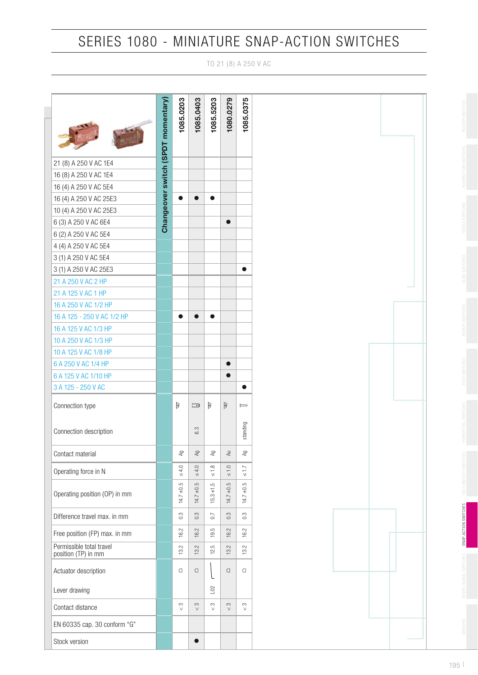TO 21 (8) A 250 V AC



SENSORS MICRO-SIGNAL SWITCHES SLIDE SWITCHES SLIDE SWITCHES FOOT SWITCHES SWITCHES ROLL SWITCHES SNAP-ACTION SWITCHES ROLL SWITCHES ROLL SWITCHES SNAP-ACTION SWITCHES SNAP-ACTION SWITCHES ROLL SWITCHES ROLL SWITCHES SNAP-A

SNAP-ACTION SWITCHES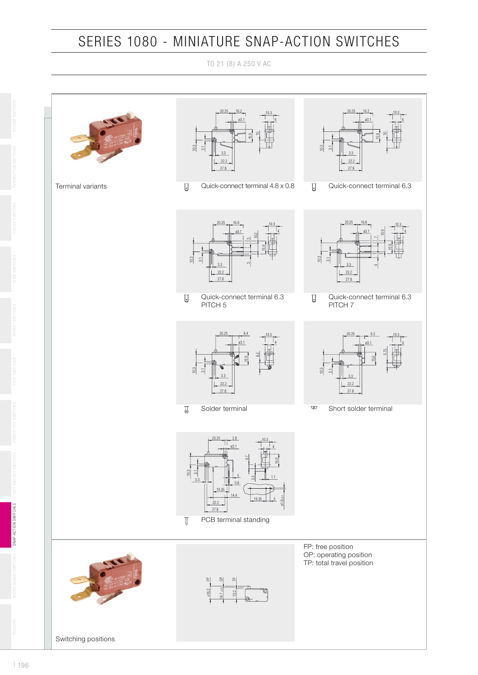TO 21 (8) A 250 V AC